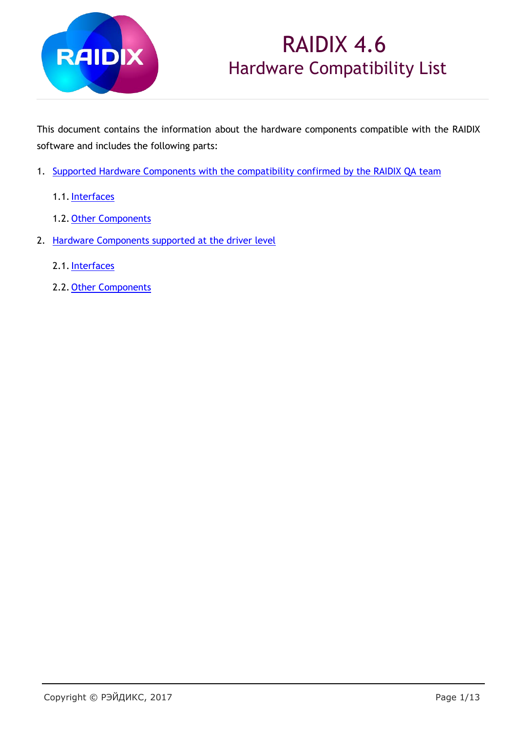

## RAIDIX 4.6 Hardware Compatibility List

This document contains the information about the hardware components compatible with the RAIDIX software and includes the following parts:

- 1. [Supported Hardware Components with the compatibility confirmed by the RAIDIX QA team](#page-1-0)
	- 1.1[.Interfaces](#page-1-1)
	- 1.2. [Other Components](#page-4-0)
- 2. [Hardware Components supported at the driver level](#page-8-0)
	- 2.1. Interfaces
	- 2.2. [Other Components](#page-12-0)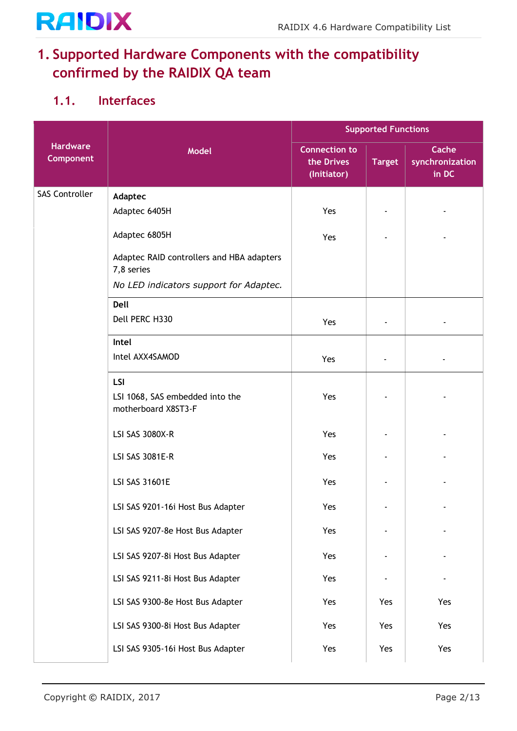# **RAIDIX**

#### <span id="page-1-0"></span>**1. Supported Hardware Components with the compatibility confirmed by the RAIDIX QA team**

#### <span id="page-1-1"></span>**1.1. Interfaces**

|                              |                                                         | <b>Supported Functions</b>                        |               |                                   |
|------------------------------|---------------------------------------------------------|---------------------------------------------------|---------------|-----------------------------------|
| <b>Hardware</b><br>Component | <b>Model</b>                                            | <b>Connection to</b><br>the Drives<br>(Initiator) | <b>Target</b> | Cache<br>synchronization<br>in DC |
| <b>SAS Controller</b>        | Adaptec                                                 |                                                   |               |                                   |
|                              | Adaptec 6405H                                           | Yes                                               |               |                                   |
|                              | Adaptec 6805H                                           | Yes                                               |               |                                   |
|                              | Adaptec RAID controllers and HBA adapters<br>7,8 series |                                                   |               |                                   |
|                              | No LED indicators support for Adaptec.                  |                                                   |               |                                   |
|                              | Dell                                                    |                                                   |               |                                   |
|                              | Dell PERC H330                                          | Yes                                               |               |                                   |
|                              | Intel                                                   |                                                   |               |                                   |
|                              | Intel AXX4SAMOD                                         | Yes                                               |               |                                   |
|                              | LSI                                                     |                                                   |               |                                   |
|                              | LSI 1068, SAS embedded into the<br>motherboard X8ST3-F  | Yes                                               |               |                                   |
|                              | LSI SAS 3080X-R                                         | Yes                                               |               |                                   |
|                              | LSI SAS 3081E-R                                         | Yes                                               |               |                                   |
|                              | <b>LSI SAS 31601E</b>                                   | Yes                                               |               |                                   |
|                              | LSI SAS 9201-16i Host Bus Adapter                       | Yes                                               |               |                                   |
|                              | LSI SAS 9207-8e Host Bus Adapter                        | Yes                                               |               |                                   |
|                              | LSI SAS 9207-8i Host Bus Adapter                        | Yes                                               |               |                                   |
|                              | LSI SAS 9211-8i Host Bus Adapter                        | Yes                                               |               |                                   |
|                              | LSI SAS 9300-8e Host Bus Adapter                        | Yes                                               | Yes           | Yes                               |
|                              | LSI SAS 9300-8i Host Bus Adapter                        | Yes                                               | Yes           | Yes                               |
|                              | LSI SAS 9305-16i Host Bus Adapter                       | Yes                                               | Yes           | Yes                               |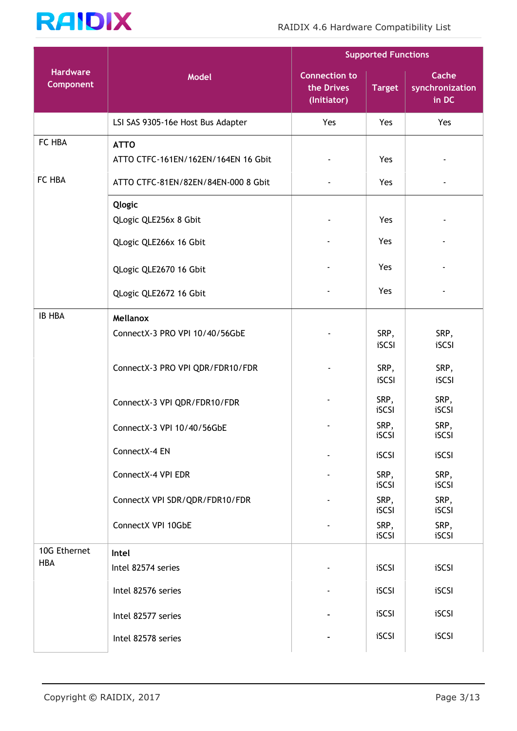

|                              |                                     |                                                   | <b>Supported Functions</b> |                                   |
|------------------------------|-------------------------------------|---------------------------------------------------|----------------------------|-----------------------------------|
| <b>Hardware</b><br>Component | Model                               | <b>Connection to</b><br>the Drives<br>(Initiator) | <b>Target</b>              | Cache<br>synchronization<br>in DC |
|                              | LSI SAS 9305-16e Host Bus Adapter   | Yes                                               | Yes                        | Yes                               |
| FC HBA                       | <b>ATTO</b>                         |                                                   |                            |                                   |
|                              | ATTO CTFC-161EN/162EN/164EN 16 Gbit |                                                   | Yes                        |                                   |
| FC HBA                       | ATTO CTFC-81EN/82EN/84EN-000 8 Gbit |                                                   | Yes                        |                                   |
|                              | Qlogic                              |                                                   |                            |                                   |
|                              | QLogic QLE256x 8 Gbit               |                                                   | Yes                        |                                   |
|                              | QLogic QLE266x 16 Gbit              |                                                   | Yes                        |                                   |
|                              | QLogic QLE2670 16 Gbit              |                                                   | Yes                        |                                   |
|                              | QLogic QLE2672 16 Gbit              |                                                   | Yes                        |                                   |
| <b>IB HBA</b>                | Mellanox                            |                                                   |                            |                                   |
|                              | ConnectX-3 PRO VPI 10/40/56GbE      |                                                   | SRP,<br>iSCSI              | SRP,<br>iSCSI                     |
|                              | ConnectX-3 PRO VPI QDR/FDR10/FDR    |                                                   | SRP,<br>iSCSI              | SRP,<br>iSCSI                     |
|                              | ConnectX-3 VPI QDR/FDR10/FDR        |                                                   | SRP,<br>iSCSI              | SRP,<br>iSCSI                     |
|                              | ConnectX-3 VPI 10/40/56GbE          |                                                   | SRP,<br>iSCSI              | SRP,<br>iSCSI                     |
|                              | ConnectX-4 EN                       |                                                   | iSCSI                      | iSCSI                             |
|                              | ConnectX-4 VPI EDR                  |                                                   | SRP,<br>iSCSI              | SRP,<br>iSCSI                     |
|                              | ConnectX VPI SDR/QDR/FDR10/FDR      |                                                   | SRP,<br>iSCSI              | SRP,<br>iSCSI                     |
|                              | ConnectX VPI 10GbE                  |                                                   | SRP,<br>iSCSI              | SRP,<br>iSCSI                     |
| 10G Ethernet                 | Intel                               |                                                   |                            |                                   |
| <b>HBA</b>                   | Intel 82574 series                  |                                                   | iSCSI                      | iSCSI                             |
|                              | Intel 82576 series                  |                                                   | iSCSI                      | iSCSI                             |
|                              | Intel 82577 series                  |                                                   | iSCSI                      | iSCSI                             |
|                              | Intel 82578 series                  |                                                   | iSCSI                      | iSCSI                             |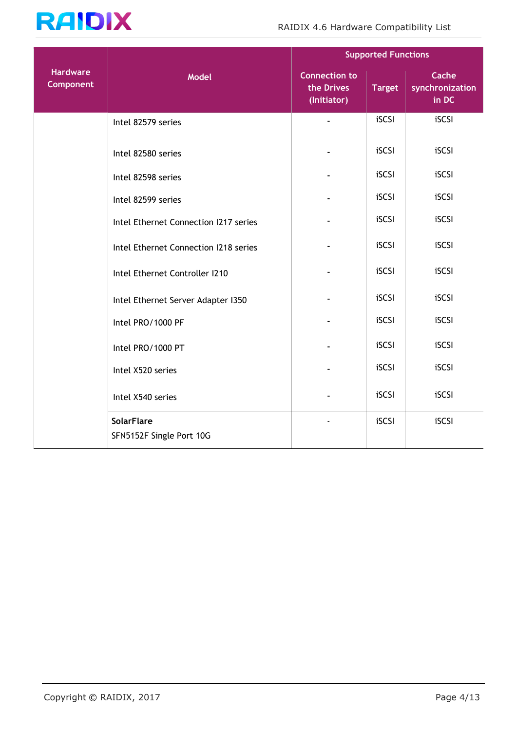

|                                     |                                               | <b>Supported Functions</b>                        |               |                                   |
|-------------------------------------|-----------------------------------------------|---------------------------------------------------|---------------|-----------------------------------|
| <b>Hardware</b><br><b>Component</b> | Model                                         | <b>Connection to</b><br>the Drives<br>(Initiator) | <b>Target</b> | Cache<br>synchronization<br>in DC |
|                                     | Intel 82579 series                            |                                                   | iSCSI         | iSCSI                             |
|                                     | Intel 82580 series                            |                                                   | iSCSI         | iSCSI                             |
|                                     | Intel 82598 series                            |                                                   | iSCSI         | iSCSI                             |
|                                     | Intel 82599 series                            |                                                   | iSCSI         | iSCSI                             |
|                                     | Intel Ethernet Connection 1217 series         |                                                   | iSCSI         | iSCSI                             |
|                                     | Intel Ethernet Connection I218 series         |                                                   | iSCSI         | iSCSI                             |
|                                     | Intel Ethernet Controller I210                |                                                   | iSCSI         | iSCSI                             |
|                                     | Intel Ethernet Server Adapter I350            |                                                   | iSCSI         | iSCSI                             |
|                                     | Intel PRO/1000 PF                             |                                                   | iSCSI         | iSCSI                             |
|                                     | Intel PRO/1000 PT                             |                                                   | iSCSI         | iSCSI                             |
|                                     | Intel X520 series                             |                                                   | iSCSI         | iSCSI                             |
|                                     | Intel X540 series                             |                                                   | iSCSI         | iSCSI                             |
|                                     | <b>SolarFlare</b><br>SFN5152F Single Port 10G |                                                   | iSCSI         | iSCSI                             |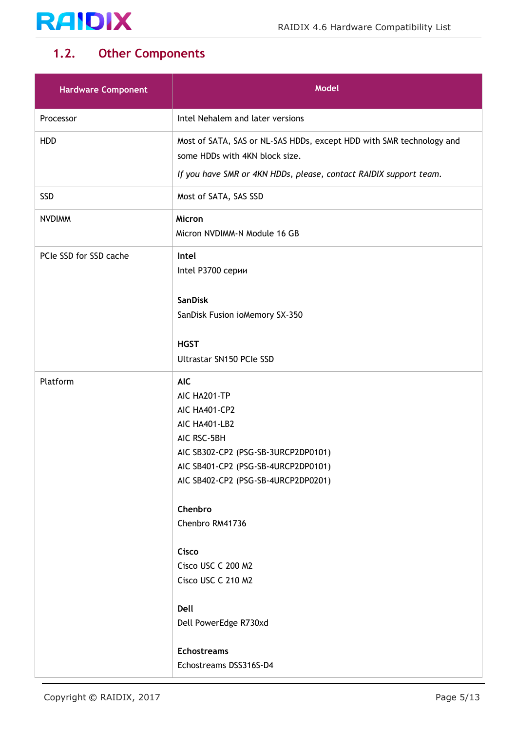

#### <span id="page-4-0"></span>**1.2. Other Components**

| <b>Hardware Component</b> | <b>Model</b>                                                                                                                                                                                                                                                                                                                               |
|---------------------------|--------------------------------------------------------------------------------------------------------------------------------------------------------------------------------------------------------------------------------------------------------------------------------------------------------------------------------------------|
| Processor                 | Intel Nehalem and later versions                                                                                                                                                                                                                                                                                                           |
| <b>HDD</b>                | Most of SATA, SAS or NL-SAS HDDs, except HDD with SMR technology and<br>some HDDs with 4KN block size.<br>If you have SMR or 4KN HDDs, please, contact RAIDIX support team.                                                                                                                                                                |
|                           |                                                                                                                                                                                                                                                                                                                                            |
| SSD                       | Most of SATA, SAS SSD                                                                                                                                                                                                                                                                                                                      |
| <b>NVDIMM</b>             | Micron<br>Micron NVDIMM-N Module 16 GB                                                                                                                                                                                                                                                                                                     |
| PCIe SSD for SSD cache    | Intel<br>Intel P3700 серии                                                                                                                                                                                                                                                                                                                 |
|                           | <b>SanDisk</b><br>SanDisk Fusion ioMemory SX-350                                                                                                                                                                                                                                                                                           |
|                           | <b>HGST</b><br>Ultrastar SN150 PCIe SSD                                                                                                                                                                                                                                                                                                    |
| Platform                  | <b>AIC</b><br>AIC HA201-TP<br>AIC HA401-CP2<br>AIC HA401-LB2<br>AIC RSC-5BH<br>AIC SB302-CP2 (PSG-SB-3URCP2DP0101)<br>AIC SB401-CP2 (PSG-SB-4URCP2DP0101)<br>AIC SB402-CP2 (PSG-SB-4URCP2DP0201)<br>Chenbro<br>Chenbro RM41736<br>Cisco<br>Cisco USC C 200 M2<br>Cisco USC C 210 M2<br>Dell<br>Dell PowerEdge R730xd<br><b>Echostreams</b> |
|                           | Echostreams DSS316S-D4                                                                                                                                                                                                                                                                                                                     |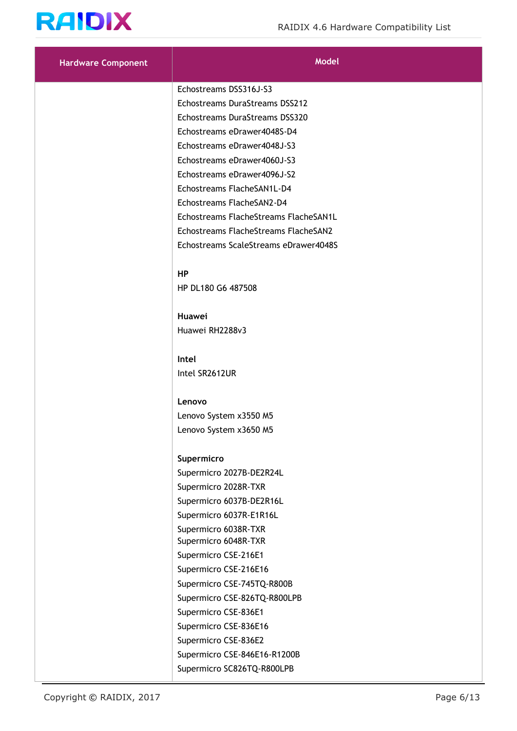

| <b>Hardware Component</b> | <b>Model</b>                          |
|---------------------------|---------------------------------------|
|                           | Echostreams DSS316J-S3                |
|                           | Echostreams DuraStreams DSS212        |
|                           | Echostreams DuraStreams DSS320        |
|                           | Echostreams eDrawer4048S-D4           |
|                           | Echostreams eDrawer4048J-S3           |
|                           | Echostreams eDrawer4060J-S3           |
|                           | Echostreams eDrawer4096J-S2           |
|                           | Echostreams FlacheSAN1L-D4            |
|                           | Echostreams FlacheSAN2-D4             |
|                           | Echostreams FlacheStreams FlacheSAN1L |
|                           | Echostreams FlacheStreams FlacheSAN2  |
|                           | Echostreams ScaleStreams eDrawer4048S |
|                           | <b>HP</b>                             |
|                           | HP DL180 G6 487508                    |
|                           | Huawei                                |
|                           | Huawei RH2288v3                       |
|                           |                                       |
|                           | Intel                                 |
|                           | Intel SR2612UR                        |
|                           | Lenovo                                |
|                           | Lenovo System x3550 M5                |
|                           | Lenovo System x3650 M5                |
|                           |                                       |
|                           | Supermicro                            |
|                           | Supermicro 2027B-DE2R24L              |
|                           | Supermicro 2028R-TXR                  |
|                           | Supermicro 6037B-DE2R16L              |
|                           | Supermicro 6037R-E1R16L               |
|                           | Supermicro 6038R-TXR                  |
|                           | Supermicro 6048R-TXR                  |
|                           | Supermicro CSE-216E1                  |
|                           | Supermicro CSE-216E16                 |
|                           | Supermicro CSE-745TQ-R800B            |
|                           | Supermicro CSE-826TQ-R800LPB          |
|                           | Supermicro CSE-836E1                  |
|                           | Supermicro CSE-836E16                 |
|                           | Supermicro CSE-836E2                  |
|                           | Supermicro CSE-846E16-R1200B          |
|                           | Supermicro SC826TQ-R800LPB            |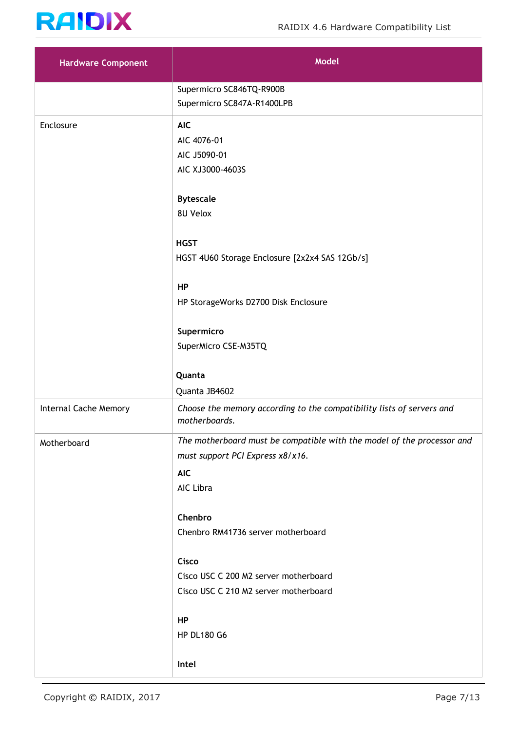

| <b>Hardware Component</b> | <b>Model</b>                                                                                                                          |
|---------------------------|---------------------------------------------------------------------------------------------------------------------------------------|
|                           | Supermicro SC846TQ-R900B<br>Supermicro SC847A-R1400LPB                                                                                |
| Enclosure                 | <b>AIC</b><br>AIC 4076-01<br>AIC J5090-01<br>AIC XJ3000-4603S                                                                         |
|                           | <b>Bytescale</b><br>8U Velox                                                                                                          |
|                           | <b>HGST</b><br>HGST 4U60 Storage Enclosure [2x2x4 SAS 12Gb/s]                                                                         |
|                           | HP<br>HP StorageWorks D2700 Disk Enclosure                                                                                            |
|                           | Supermicro<br>SuperMicro CSE-M35TQ                                                                                                    |
|                           | Quanta<br>Quanta JB4602                                                                                                               |
| Internal Cache Memory     | Choose the memory according to the compatibility lists of servers and<br>motherboards.                                                |
| Motherboard               | The motherboard must be compatible with the model of the processor and<br>must support PCI Express x8/x16.<br><b>AIC</b><br>AIC Libra |
|                           | Chenbro<br>Chenbro RM41736 server motherboard                                                                                         |
|                           | Cisco<br>Cisco USC C 200 M2 server motherboard<br>Cisco USC C 210 M2 server motherboard                                               |
|                           | HP<br><b>HP DL180 G6</b>                                                                                                              |
|                           | Intel                                                                                                                                 |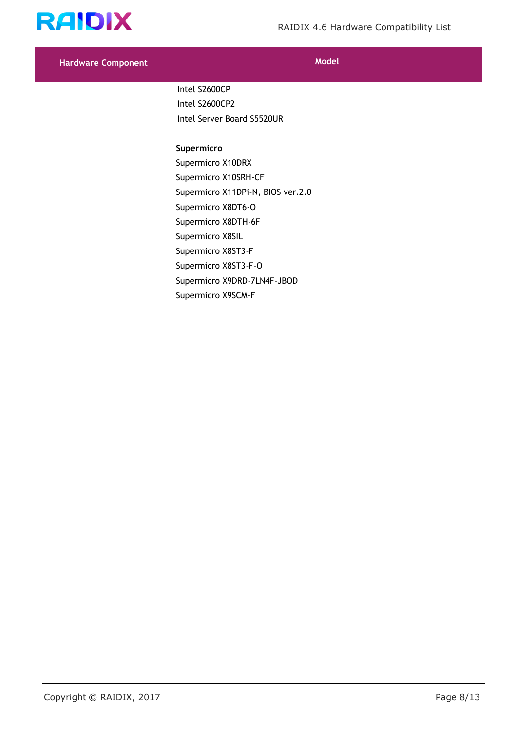

| <b>Hardware Component</b> | <b>Model</b>                      |
|---------------------------|-----------------------------------|
|                           | Intel S2600CP                     |
|                           | Intel S2600CP2                    |
|                           | Intel Server Board S5520UR        |
|                           |                                   |
|                           | Supermicro                        |
|                           | Supermicro X10DRX                 |
|                           | Supermicro X10SRH-CF              |
|                           | Supermicro X11DPi-N, BIOS ver.2.0 |
|                           | Supermicro X8DT6-O                |
|                           | Supermicro X8DTH-6F               |
|                           | Supermicro X8SIL                  |
|                           | Supermicro X8ST3-F                |
|                           | Supermicro X8ST3-F-O              |
|                           | Supermicro X9DRD-7LN4F-JBOD       |
|                           | Supermicro X9SCM-F                |
|                           |                                   |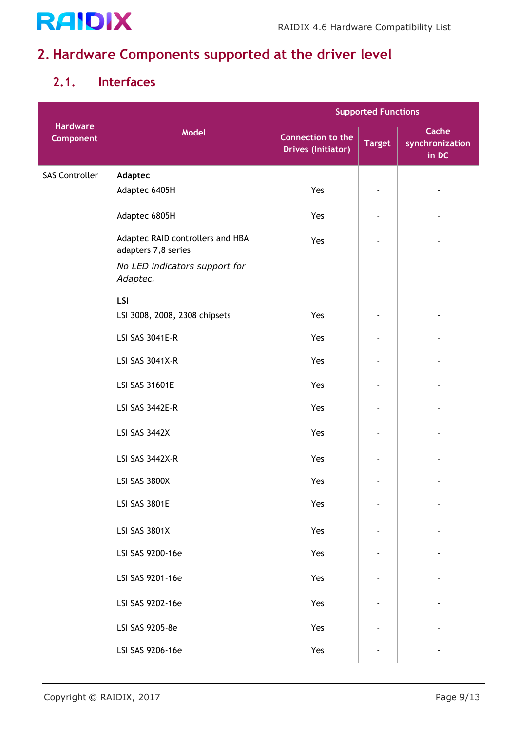

#### <span id="page-8-0"></span>**2. Hardware Components supported at the driver level**

#### <span id="page-8-1"></span>**2.1. Interfaces**

|                              |                                                         | <b>Supported Functions</b>                     |               |                                   |
|------------------------------|---------------------------------------------------------|------------------------------------------------|---------------|-----------------------------------|
| <b>Hardware</b><br>Component | Model                                                   | Connection to the<br><b>Drives (Initiator)</b> | <b>Target</b> | Cache<br>synchronization<br>in DC |
| <b>SAS Controller</b>        | Adaptec                                                 |                                                |               |                                   |
|                              | Adaptec 6405H                                           | Yes                                            |               |                                   |
|                              | Adaptec 6805H                                           | Yes                                            |               |                                   |
|                              | Adaptec RAID controllers and HBA<br>adapters 7,8 series | Yes                                            |               |                                   |
|                              | No LED indicators support for<br>Adaptec.               |                                                |               |                                   |
|                              | <b>LSI</b>                                              |                                                |               |                                   |
|                              | LSI 3008, 2008, 2308 chipsets                           | Yes                                            |               |                                   |
|                              | LSI SAS 3041E-R                                         | Yes                                            |               |                                   |
|                              | LSI SAS 3041X-R                                         | Yes                                            |               |                                   |
|                              | LSI SAS 31601E                                          | Yes                                            |               |                                   |
|                              | LSI SAS 3442E-R                                         | Yes                                            |               |                                   |
|                              | LSI SAS 3442X                                           | Yes                                            |               |                                   |
|                              | LSI SAS 3442X-R                                         | Yes                                            |               |                                   |
|                              | LSI SAS 3800X                                           | Yes                                            |               |                                   |
|                              | LSI SAS 3801E                                           | Yes                                            |               |                                   |
|                              | <b>LSI SAS 3801X</b>                                    | Yes                                            |               |                                   |
|                              | LSI SAS 9200-16e                                        | Yes                                            |               |                                   |
|                              | LSI SAS 9201-16e                                        | Yes                                            |               |                                   |
|                              | LSI SAS 9202-16e                                        | Yes                                            |               |                                   |
|                              | LSI SAS 9205-8e                                         | Yes                                            |               |                                   |
|                              | LSI SAS 9206-16e                                        | Yes                                            |               |                                   |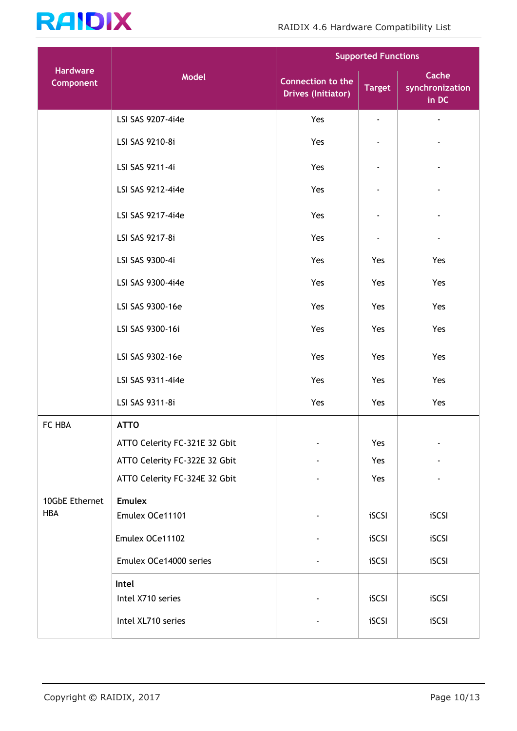

|                              |                               | <b>Supported Functions</b>                            |               |                                   |
|------------------------------|-------------------------------|-------------------------------------------------------|---------------|-----------------------------------|
| <b>Hardware</b><br>Component | Model                         | <b>Connection to the</b><br><b>Drives (Initiator)</b> | <b>Target</b> | Cache<br>synchronization<br>in DC |
|                              | LSI SAS 9207-4i4e             | Yes                                                   | ٠             |                                   |
|                              | LSI SAS 9210-8i               | Yes                                                   |               |                                   |
|                              | LSI SAS 9211-4i               | Yes                                                   |               |                                   |
|                              | LSI SAS 9212-4i4e             | Yes                                                   |               |                                   |
|                              | LSI SAS 9217-4i4e             | Yes                                                   |               |                                   |
|                              | LSI SAS 9217-8i               | Yes                                                   |               |                                   |
|                              | LSI SAS 9300-4i               | Yes                                                   | Yes           | Yes                               |
|                              | LSI SAS 9300-4i4e             | Yes                                                   | Yes           | Yes                               |
|                              | LSI SAS 9300-16e              | Yes                                                   | Yes           | Yes                               |
|                              | LSI SAS 9300-16i              | Yes                                                   | Yes           | Yes                               |
|                              | LSI SAS 9302-16e              | Yes                                                   | Yes           | Yes                               |
|                              | LSI SAS 9311-4i4e             | Yes                                                   | Yes           | Yes                               |
|                              | LSI SAS 9311-8i               | Yes                                                   | Yes           | Yes                               |
| FC HBA                       | <b>ATTO</b>                   |                                                       |               |                                   |
|                              | ATTO Celerity FC-321E 32 Gbit | $\overline{\phantom{a}}$                              | Yes           |                                   |
|                              | ATTO Celerity FC-322E 32 Gbit |                                                       | Yes           |                                   |
|                              | ATTO Celerity FC-324E 32 Gbit |                                                       | Yes           |                                   |
| 10GbE Ethernet               | <b>Emulex</b>                 |                                                       |               |                                   |
| <b>HBA</b>                   | Emulex OCe11101               |                                                       | iSCSI         | iSCSI                             |
|                              | Emulex OCe11102               |                                                       | iSCSI         | iSCSI                             |
|                              | Emulex OCe14000 series        |                                                       | iSCSI         | iSCSI                             |
|                              | Intel<br>Intel X710 series    |                                                       | iSCSI         | iSCSI                             |
|                              | Intel XL710 series            |                                                       | iSCSI         | iSCSI                             |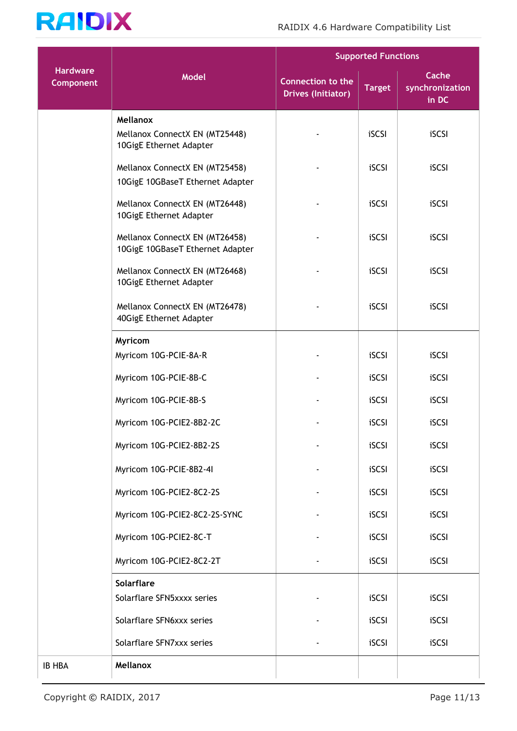

|                              |                                                                       | <b>Supported Functions</b>                            |               |                                   |
|------------------------------|-----------------------------------------------------------------------|-------------------------------------------------------|---------------|-----------------------------------|
| <b>Hardware</b><br>Component | <b>Model</b>                                                          | <b>Connection to the</b><br><b>Drives (Initiator)</b> | <b>Target</b> | Cache<br>synchronization<br>in DC |
|                              | Mellanox<br>Mellanox ConnectX EN (MT25448)<br>10GigE Ethernet Adapter |                                                       | iSCSI         | iSCSI                             |
|                              | Mellanox ConnectX EN (MT25458)<br>10GigE 10GBaseT Ethernet Adapter    |                                                       | iSCSI         | iSCSI                             |
|                              | Mellanox ConnectX EN (MT26448)<br>10GigE Ethernet Adapter             |                                                       | iSCSI         | iSCSI                             |
|                              | Mellanox ConnectX EN (MT26458)<br>10GigE 10GBaseT Ethernet Adapter    |                                                       | iSCSI         | iSCSI                             |
|                              | Mellanox ConnectX EN (MT26468)<br>10GigE Ethernet Adapter             |                                                       | iSCSI         | iSCSI                             |
|                              | Mellanox ConnectX EN (MT26478)<br>40GigE Ethernet Adapter             |                                                       | iSCSI         | iSCSI                             |
|                              | Myricom                                                               |                                                       |               |                                   |
|                              | Myricom 10G-PCIE-8A-R                                                 |                                                       | iSCSI         | iSCSI                             |
|                              | Myricom 10G-PCIE-8B-C                                                 |                                                       | iSCSI         | iSCSI                             |
|                              | Myricom 10G-PCIE-8B-S                                                 |                                                       | iSCSI         | iSCSI                             |
|                              | Myricom 10G-PCIE2-8B2-2C                                              |                                                       | iSCSI         | iSCSI                             |
|                              | Myricom 10G-PCIE2-8B2-2S                                              |                                                       | iSCSI         | iSCSI                             |
|                              | Myricom 10G-PCIE-8B2-4I                                               |                                                       | iSCSI         | iSCSI                             |
|                              | Myricom 10G-PCIE2-8C2-2S                                              |                                                       | iSCSI         | iSCSI                             |
|                              | Myricom 10G-PCIE2-8C2-2S-SYNC                                         |                                                       | iSCSI         | iSCSI                             |
|                              | Myricom 10G-PCIE2-8C-T                                                |                                                       | iSCSI         | iSCSI                             |
|                              | Myricom 10G-PCIE2-8C2-2T                                              |                                                       | iSCSI         | iSCSI                             |
|                              | Solarflare                                                            |                                                       |               |                                   |
|                              | Solarflare SFN5xxxx series                                            |                                                       | iSCSI         | iSCSI                             |
|                              | Solarflare SFN6xxx series                                             |                                                       | iSCSI         | iSCSI                             |
|                              | Solarflare SFN7xxx series                                             |                                                       | iSCSI         | iSCSI                             |
| <b>IB HBA</b>                | Mellanox                                                              |                                                       |               |                                   |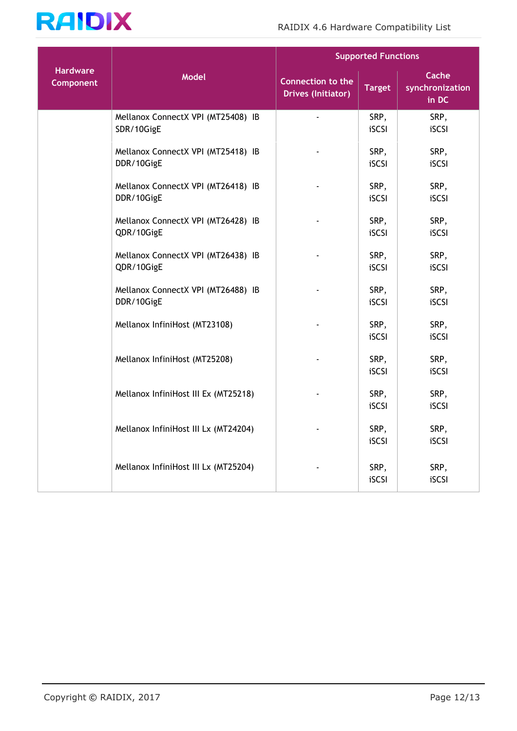

|                                     |                                                  | <b>Supported Functions</b>                            |               |                                   |
|-------------------------------------|--------------------------------------------------|-------------------------------------------------------|---------------|-----------------------------------|
| <b>Hardware</b><br><b>Component</b> | <b>Model</b>                                     | <b>Connection to the</b><br><b>Drives (Initiator)</b> | <b>Target</b> | Cache<br>synchronization<br>in DC |
|                                     | Mellanox ConnectX VPI (MT25408) IB<br>SDR/10GigE | ä,                                                    | SRP,<br>iSCSI | SRP,<br>iSCSI                     |
|                                     | Mellanox ConnectX VPI (MT25418) IB<br>DDR/10GigE |                                                       | SRP,<br>iSCSI | SRP,<br>iSCSI                     |
|                                     | Mellanox ConnectX VPI (MT26418) IB<br>DDR/10GigE |                                                       | SRP,<br>iSCSI | SRP,<br>iSCSI                     |
|                                     | Mellanox ConnectX VPI (MT26428) IB<br>QDR/10GigE |                                                       | SRP,<br>iSCSI | SRP,<br>iSCSI                     |
|                                     | Mellanox ConnectX VPI (MT26438) IB<br>QDR/10GigE |                                                       | SRP,<br>iSCSI | SRP,<br>iSCSI                     |
|                                     | Mellanox ConnectX VPI (MT26488) IB<br>DDR/10GigE |                                                       | SRP,<br>iSCSI | SRP,<br>iSCSI                     |
|                                     | Mellanox InfiniHost (MT23108)                    |                                                       | SRP,<br>iSCSI | SRP,<br>iSCSI                     |
|                                     | Mellanox InfiniHost (MT25208)                    |                                                       | SRP,<br>iSCSI | SRP,<br>iSCSI                     |
|                                     | Mellanox InfiniHost III Ex (MT25218)             |                                                       | SRP,<br>iSCSI | SRP,<br>iSCSI                     |
|                                     | Mellanox InfiniHost III Lx (MT24204)             |                                                       | SRP,<br>iSCSI | SRP,<br>iSCSI                     |
|                                     | Mellanox InfiniHost III Lx (MT25204)             |                                                       | SRP,<br>iSCSI | SRP,<br>iSCSI                     |